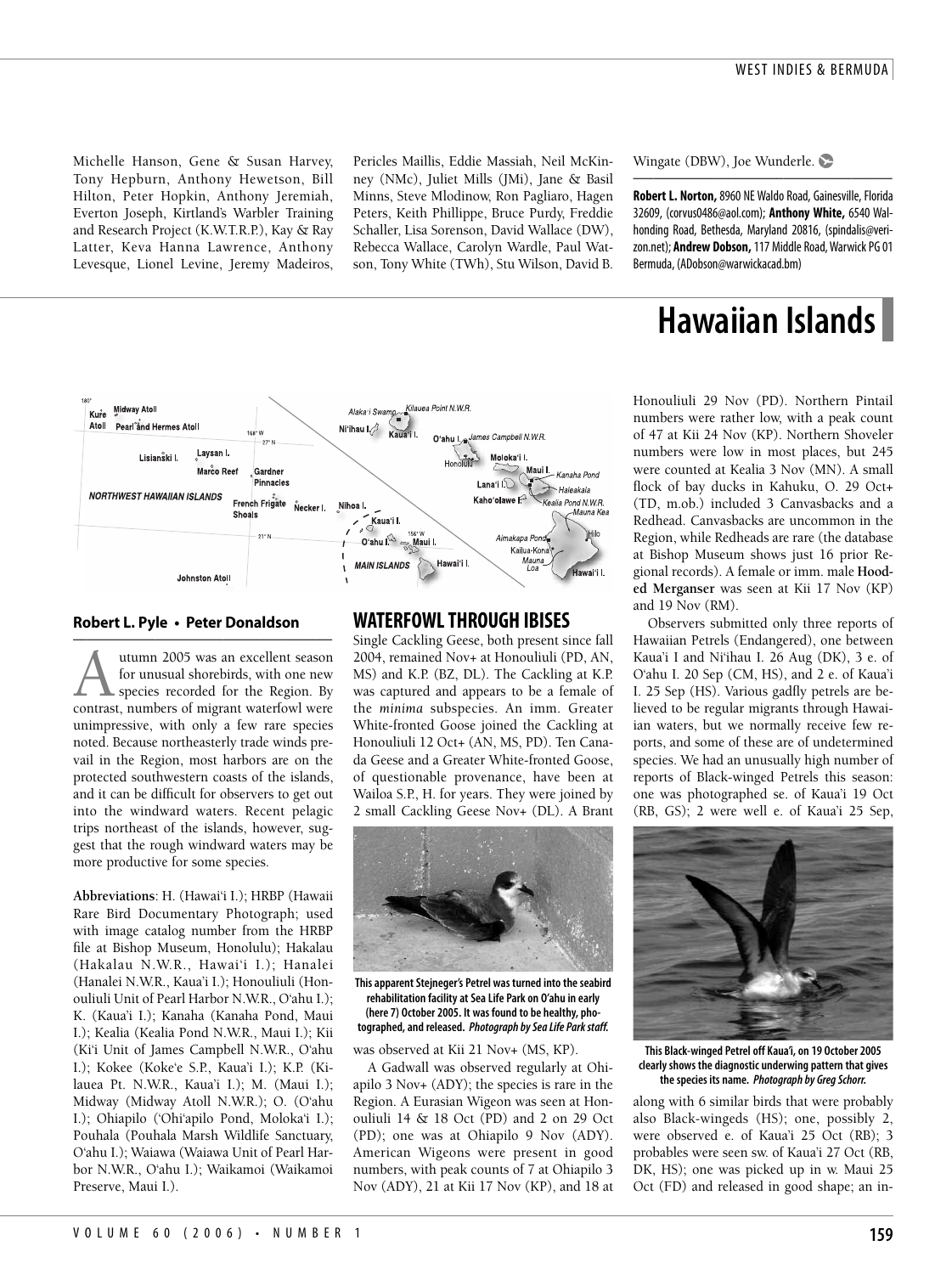Michelle Hanson, Gene & Susan Harvey, Tony Hepburn, Anthony Hewetson, Bill Hilton, Peter Hopkin, Anthony Jeremiah, Everton Joseph, Kirtland's Warbler Training and Research Project (K.W.T.R.P.), Kay & Ray Latter, Keva Hanna Lawrence, Anthony Levesque, Lionel Levine, Jeremy Madeiros,

Pericles Maillis, Eddie Massiah, Neil McKinney (NMc), Juliet Mills (JMi), Jane & Basil Minns, Steve Mlodinow, Ron Pagliaro, Hagen Peters, Keith Phillippe, Bruce Purdy, Freddie Schaller, Lisa Sorenson, David Wallace (DW), Rebecca Wallace, Carolyn Wardle, Paul Watson, Tony White (TWh), Stu Wilson, David B.

Wingate (DBW), Joe Wunderle.

**Robert L. Norton,**8960 NE Waldo Road, Gainesville, Florida 32609, (corvus0486@aol.com); **Anthony White,** 6540 Walhonding Road, Bethesda, Maryland 20816, (spindalis@verizon.net); **Andrew Dobson,**117 Middle Road, Warwick PG 01 Bermuda, (ADobson@warwickacad.bm)

––––––––––––––––––––––––––––––––––––––

# **Hawaiian Islands**

Honouliuli 29 Nov (PD). Northern Pintail numbers were rather low, with a peak count of 47 at Kii 24 Nov (KP). Northern Shoveler numbers were low in most places, but 245 were counted at Kealia 3 Nov (MN). A small flock of bay ducks in Kahuku, O. 29 Oct+ (TD, m.ob.) included 3 Canvasbacks and a Redhead. Canvasbacks are uncommon in the Region, while Redheads are rare (the database at Bishop Museum shows just 16 prior Regional records). A female or imm. male **Hooded Merganser** was seen at Kii 17 Nov (KP) and 19 Nov (RM).

Observers submitted only three reports of Hawaiian Petrels (Endangered), one between Kaua'i I and Ni'ihau I. 26 Aug (DK), 3 e. of O'ahu I. 20 Sep (CM, HS), and 2 e. of Kaua'i I. 25 Sep (HS). Various gadfly petrels are believed to be regular migrants through Hawaiian waters, but we normally receive few reports, and some of these are of undetermined species. We had an unusually high number of reports of Black-winged Petrels this season: one was photographed se. of Kaua'i 19 Oct (RB, GS); 2 were well e. of Kaua'i 25 Sep,



**This Black-winged Petrel off Kaua'i, on 19 October 2005 clearly shows the diagnostic underwing pattern that gives the species its name. Photograph by Greg Schorr.**

along with 6 similar birds that were probably also Black-wingeds (HS); one, possibly 2, were observed e. of Kaua'i 25 Oct (RB); 3 probables were seen sw. of Kaua'i 27 Oct (RB, DK, HS); one was picked up in w. Maui 25 Oct (FD) and released in good shape; an in-



#### **Robert L. Pyle • Peter Donaldson**

–––––––––––––––––––––––––––––––––––––– Autumn 2005 was an excellent season<br>for unusual shorebirds, with one new<br>species recorded for the Region. By<br>contrast, numbers of migrant waterfowl were for unusual shorebirds, with one new species recorded for the Region. By unimpressive, with only a few rare species noted. Because northeasterly trade winds prevail in the Region, most harbors are on the protected southwestern coasts of the islands, and it can be difficult for observers to get out into the windward waters. Recent pelagic trips northeast of the islands, however, suggest that the rough windward waters may be more productive for some species.

**Abbreviations**: H. (Hawai'i I.); HRBP (Hawaii Rare Bird Documentary Photograph; used with image catalog number from the HRBP file at Bishop Museum, Honolulu); Hakalau (Hakalau N.W.R., Hawai'i I.); Hanalei (Hanalei N.W.R., Kaua'i I.); Honouliuli (Honouliuli Unit of Pearl Harbor N.W.R., O'ahu I.); K. (Kaua'i I.); Kanaha (Kanaha Pond, Maui I.); Kealia (Kealia Pond N.W.R., Maui I.); Kii (Ki'i Unit of James Campbell N.W.R., O'ahu I.); Kokee (Koke'e S.P., Kaua'i I.); K.P. (Kilauea Pt. N.W.R., Kaua'i I.); M. (Maui I.); Midway (Midway Atoll N.W.R.); O. (O'ahu I.); Ohiapilo ('Ohi'apilo Pond, Moloka'i I.); Pouhala (Pouhala Marsh Wildlife Sanctuary, O'ahu I.); Waiawa (Waiawa Unit of Pearl Harbor N.W.R., O'ahu I.); Waikamoi (Waikamoi Preserve, Maui I.).

## **WATERFOWL THROUGH IBISES**

Single Cackling Geese, both present since fall 2004, remained Nov+ at Honouliuli (PD, AN, MS) and K.P. (BZ, DL). The Cackling at K.P. was captured and appears to be a female of the *minima* subspecies. An imm. Greater White-fronted Goose joined the Cackling at Honouliuli 12 Oct+ (AN, MS, PD). Ten Canada Geese and a Greater White-fronted Goose, of questionable provenance, have been at Wailoa S.P., H. for years. They were joined by 2 small Cackling Geese Nov+ (DL). A Brant



**This apparent Stejneger's Petrel was turned into the seabird rehabilitation facility at Sea Life Park on O'ahu in early (here 7) October 2005. It was found to be healthy, photographed, and released. Photograph by Sea Life Park staff.**

was observed at Kii 21 Nov+ (MS, KP).

A Gadwall was observed regularly at Ohiapilo 3 Nov+ (ADY); the species is rare in the Region. A Eurasian Wigeon was seen at Honouliuli 14 & 18 Oct (PD) and 2 on 29 Oct (PD); one was at Ohiapilo 9 Nov (ADY). American Wigeons were present in good numbers, with peak counts of 7 at Ohiapilo 3 Nov (ADY), 21 at Kii 17 Nov (KP), and 18 at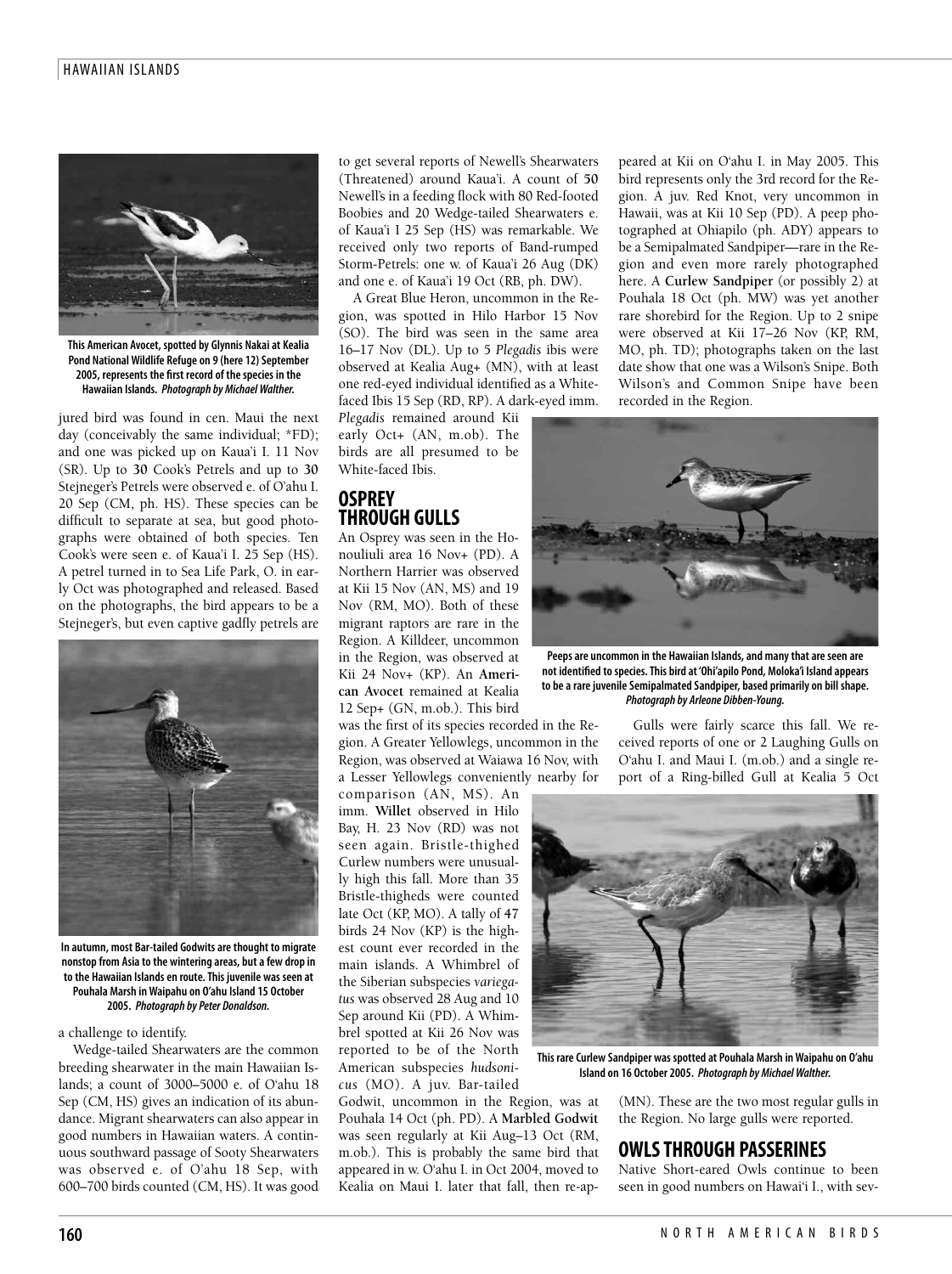#### HAWAIIAN ISLANDS



**This American Avocet, spotted by Glynnis Nakai at Kealia Pond National Wildlife Refuge on 9 (here 12) September 2005, represents the first record of the species in the Hawaiian Islands. Photograph by Michael Walther.**

jured bird was found in cen. Maui the next day (conceivably the same individual; \*FD); and one was picked up on Kaua'i I. 11 Nov (SR). Up to **30** Cook's Petrels and up to **30** Stejneger's Petrels were observed e. of O'ahu I. 20 Sep (CM, ph. HS). These species can be difficult to separate at sea, but good photographs were obtained of both species. Ten Cook's were seen e. of Kaua'i I. 25 Sep (HS). A petrel turned in to Sea Life Park, O. in early Oct was photographed and released. Based on the photographs, the bird appears to be a Stejneger's, but even captive gadfly petrels are



**In autumn, most Bar-tailed Godwits are thought to migrate nonstop from Asia to the wintering areas, but a few drop in to the Hawaiian Islands en route. This juvenile was seen at Pouhala Marsh in Waipahu on O'ahu Island 15 October 2005. Photograph by Peter Donaldson.**

a challenge to identify.

Wedge-tailed Shearwaters are the common breeding shearwater in the main Hawaiian Islands; a count of 3000–5000 e. of O'ahu 18 Sep (CM, HS) gives an indication of its abundance. Migrant shearwaters can also appear in good numbers in Hawaiian waters. A continuous southward passage of Sooty Shearwaters was observed e. of O'ahu 18 Sep, with 600–700 birds counted (CM, HS). It was good

to get several reports of Newell's Shearwaters (Threatened) around Kaua'i. A count of **50** Newell's in a feeding flock with 80 Red-footed Boobies and 20 Wedge-tailed Shearwaters e. of Kaua'i I 25 Sep (HS) was remarkable. We received only two reports of Band-rumped Storm-Petrels: one w. of Kaua'i 26 Aug (DK) and one e. of Kaua'i 19 Oct (RB, ph. DW).

A Great Blue Heron, uncommon in the Region, was spotted in Hilo Harbor 15 Nov (SO). The bird was seen in the same area 16–17 Nov (DL). Up to 5 *Plegadis* ibis were observed at Kealia Aug+ (MN), with at least one red-eyed individual identified as a Whitefaced Ibis 15 Sep (RD, RP). A dark-eyed imm.

*Plegadis* remained around Kii early Oct+ (AN, m.ob). The birds are all presumed to be White-faced Ibis.

# **OSPREY THROUGH GULLS**

An Osprey was seen in the Honouliuli area 16 Nov+ (PD). A Northern Harrier was observed at Kii 15 Nov (AN, MS) and 19 Nov (RM, MO). Both of these migrant raptors are rare in the Region. A Killdeer, uncommon in the Region, was observed at Kii 24 Nov+ (KP). An **American Avocet** remained at Kealia 12 Sep+ (GN, m.ob.). This bird

was the first of its species recorded in the Region. A Greater Yellowlegs, uncommon in the Region, was observed at Waiawa 16 Nov, with a Lesser Yellowlegs conveniently nearby for

comparison (AN, MS). An imm. **Willet** observed in Hilo Bay, H. 23 Nov (RD) was not seen again. Bristle-thighed Curlew numbers were unusually high this fall. More than 35 Bristle-thigheds were counted late Oct (KP, MO). A tally of **47** birds 24 Nov (KP) is the highest count ever recorded in the main islands. A Whimbrel of the Siberian subspecies *variegatus* was observed 28 Aug and 10 Sep around Kii (PD). A Whimbrel spotted at Kii 26 Nov was reported to be of the North American subspecies *hudsonicus* (MO). A juv. Bar-tailed

Godwit, uncommon in the Region, was at Pouhala 14 Oct (ph. PD). A **Marbled Godwit** was seen regularly at Kii Aug–13 Oct (RM, m.ob.). This is probably the same bird that appeared in w. O'ahu I. in Oct 2004, moved to Kealia on Maui I. later that fall, then re-appeared at Kii on O'ahu I. in May 2005. This bird represents only the 3rd record for the Region. A juv. Red Knot, very uncommon in Hawaii, was at Kii 10 Sep (PD). A peep photographed at Ohiapilo (ph. ADY) appears to be a Semipalmated Sandpiper—rare in the Region and even more rarely photographed here. A **Curlew Sandpiper** (or possibly 2) at Pouhala 18 Oct (ph. MW) was yet another rare shorebird for the Region. Up to 2 snipe were observed at Kii 17–26 Nov (KP, RM, MO, ph. TD); photographs taken on the last date show that one was a Wilson's Snipe. Both Wilson's and Common Snipe have been recorded in the Region.



**Peeps are uncommon in the Hawaiian Islands, and many that are seen are not identified to species. This bird at 'Ohi'apilo Pond, Moloka'i Island appears to be a rare juvenile Semipalmated Sandpiper, based primarily on bill shape. Photograph by Arleone Dibben-Young.**

Gulls were fairly scarce this fall. We received reports of one or 2 Laughing Gulls on O'ahu I. and Maui I. (m.ob.) and a single report of a Ring-billed Gull at Kealia 5 Oct



**This rare Curlew Sandpiper was spotted at Pouhala Marsh in Waipahu on O'ahu Island on 16 October 2005. Photograph by Michael Walther.**

(MN). These are the two most regular gulls in the Region. No large gulls were reported.

### **OWLS THROUGH PASSERINES**

Native Short-eared Owls continue to been seen in good numbers on Hawai'i I., with sev